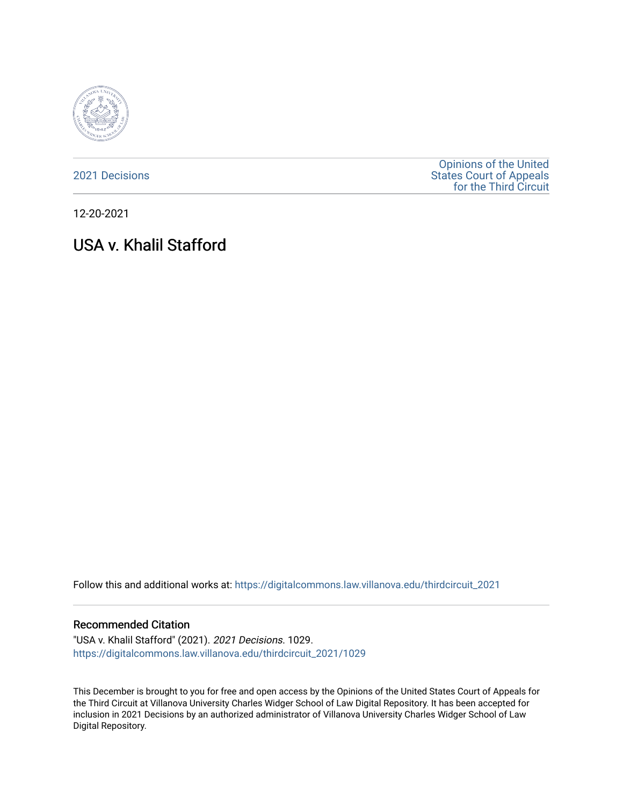

[2021 Decisions](https://digitalcommons.law.villanova.edu/thirdcircuit_2021)

[Opinions of the United](https://digitalcommons.law.villanova.edu/thirdcircuit)  [States Court of Appeals](https://digitalcommons.law.villanova.edu/thirdcircuit)  [for the Third Circuit](https://digitalcommons.law.villanova.edu/thirdcircuit) 

12-20-2021

# USA v. Khalil Stafford

Follow this and additional works at: [https://digitalcommons.law.villanova.edu/thirdcircuit\\_2021](https://digitalcommons.law.villanova.edu/thirdcircuit_2021?utm_source=digitalcommons.law.villanova.edu%2Fthirdcircuit_2021%2F1029&utm_medium=PDF&utm_campaign=PDFCoverPages) 

#### Recommended Citation

"USA v. Khalil Stafford" (2021). 2021 Decisions. 1029. [https://digitalcommons.law.villanova.edu/thirdcircuit\\_2021/1029](https://digitalcommons.law.villanova.edu/thirdcircuit_2021/1029?utm_source=digitalcommons.law.villanova.edu%2Fthirdcircuit_2021%2F1029&utm_medium=PDF&utm_campaign=PDFCoverPages) 

This December is brought to you for free and open access by the Opinions of the United States Court of Appeals for the Third Circuit at Villanova University Charles Widger School of Law Digital Repository. It has been accepted for inclusion in 2021 Decisions by an authorized administrator of Villanova University Charles Widger School of Law Digital Repository.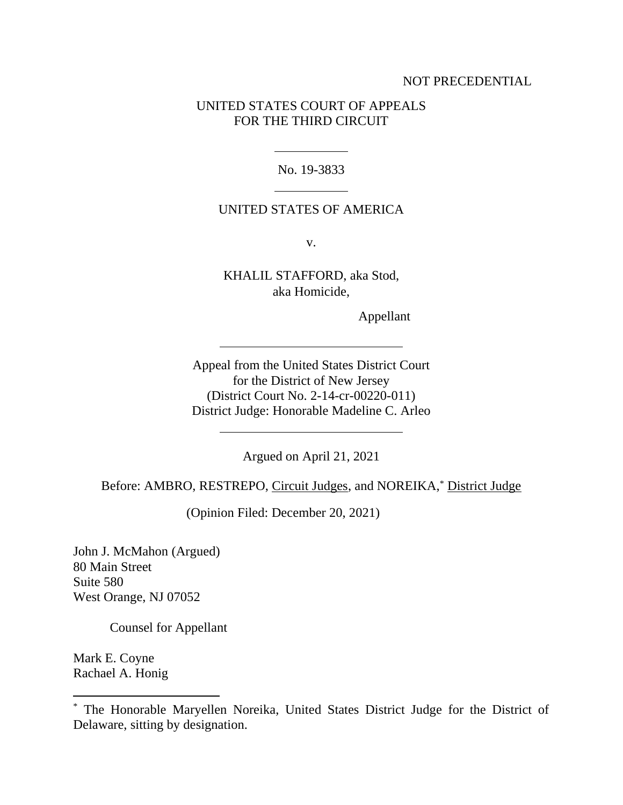## NOT PRECEDENTIAL

## UNITED STATES COURT OF APPEALS FOR THE THIRD CIRCUIT

No. 19-3833

#### UNITED STATES OF AMERICA

v.

KHALIL STAFFORD, aka Stod, aka Homicide,

Appellant

Appeal from the United States District Court for the District of New Jersey (District Court No. 2-14-cr-00220-011) District Judge: Honorable Madeline C. Arleo

Argued on April 21, 2021

Before: AMBRO, RESTREPO, Circuit Judges, and NOREIKA,\* District Judge

(Opinion Filed: December 20, 2021)

John J. McMahon (Argued) 80 Main Street Suite 580 West Orange, NJ 07052

Counsel for Appellant

Mark E. Coyne Rachael A. Honig

<sup>\*</sup> The Honorable Maryellen Noreika, United States District Judge for the District of Delaware, sitting by designation.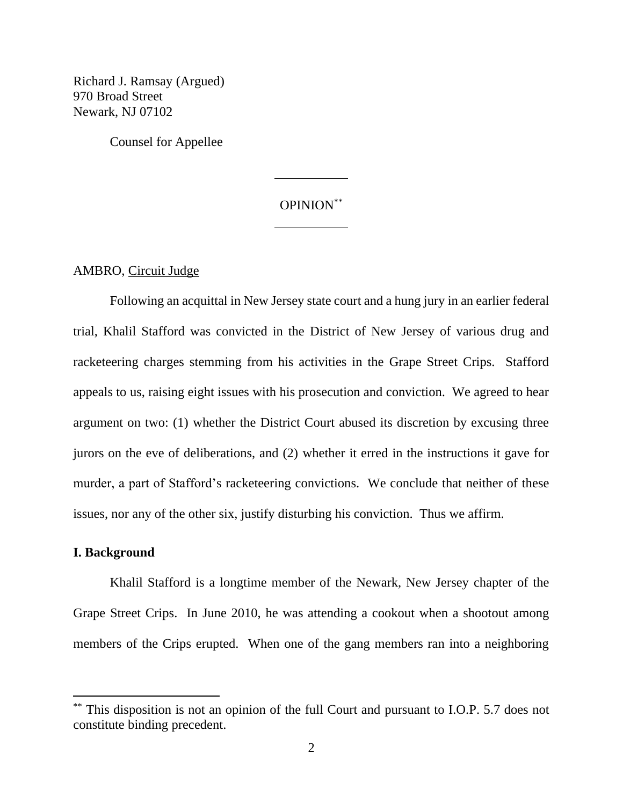Richard J. Ramsay (Argued) 970 Broad Street Newark, NJ 07102

Counsel for Appellee

# OPINION\*\*

AMBRO, Circuit Judge

Following an acquittal in New Jersey state court and a hung jury in an earlier federal trial, Khalil Stafford was convicted in the District of New Jersey of various drug and racketeering charges stemming from his activities in the Grape Street Crips. Stafford appeals to us, raising eight issues with his prosecution and conviction. We agreed to hear argument on two: (1) whether the District Court abused its discretion by excusing three jurors on the eve of deliberations, and (2) whether it erred in the instructions it gave for murder, a part of Stafford's racketeering convictions. We conclude that neither of these issues, nor any of the other six, justify disturbing his conviction. Thus we affirm.

#### **I. Background**

Khalil Stafford is a longtime member of the Newark, New Jersey chapter of the Grape Street Crips. In June 2010, he was attending a cookout when a shootout among members of the Crips erupted. When one of the gang members ran into a neighboring

<sup>\*\*</sup> This disposition is not an opinion of the full Court and pursuant to I.O.P. 5.7 does not constitute binding precedent.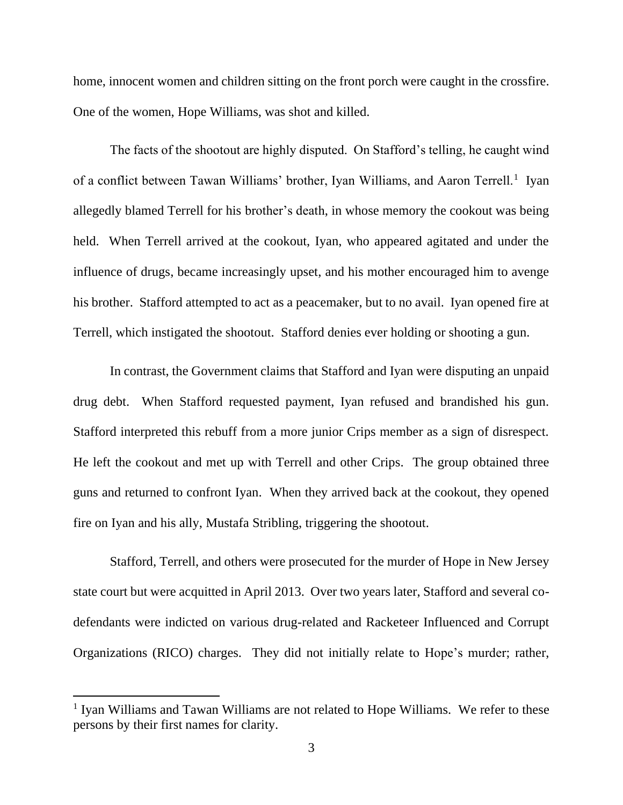home, innocent women and children sitting on the front porch were caught in the crossfire. One of the women, Hope Williams, was shot and killed.

The facts of the shootout are highly disputed. On Stafford's telling, he caught wind of a conflict between Tawan Williams' brother, Iyan Williams, and Aaron Terrell.<sup>1</sup> Iyan allegedly blamed Terrell for his brother's death, in whose memory the cookout was being held. When Terrell arrived at the cookout, Iyan, who appeared agitated and under the influence of drugs, became increasingly upset, and his mother encouraged him to avenge his brother. Stafford attempted to act as a peacemaker, but to no avail. Iyan opened fire at Terrell, which instigated the shootout. Stafford denies ever holding or shooting a gun.

In contrast, the Government claims that Stafford and Iyan were disputing an unpaid drug debt. When Stafford requested payment, Iyan refused and brandished his gun. Stafford interpreted this rebuff from a more junior Crips member as a sign of disrespect. He left the cookout and met up with Terrell and other Crips. The group obtained three guns and returned to confront Iyan. When they arrived back at the cookout, they opened fire on Iyan and his ally, Mustafa Stribling, triggering the shootout.

Stafford, Terrell, and others were prosecuted for the murder of Hope in New Jersey state court but were acquitted in April 2013. Over two years later, Stafford and several codefendants were indicted on various drug-related and Racketeer Influenced and Corrupt Organizations (RICO) charges. They did not initially relate to Hope's murder; rather,

<sup>&</sup>lt;sup>1</sup> Iyan Williams and Tawan Williams are not related to Hope Williams. We refer to these persons by their first names for clarity.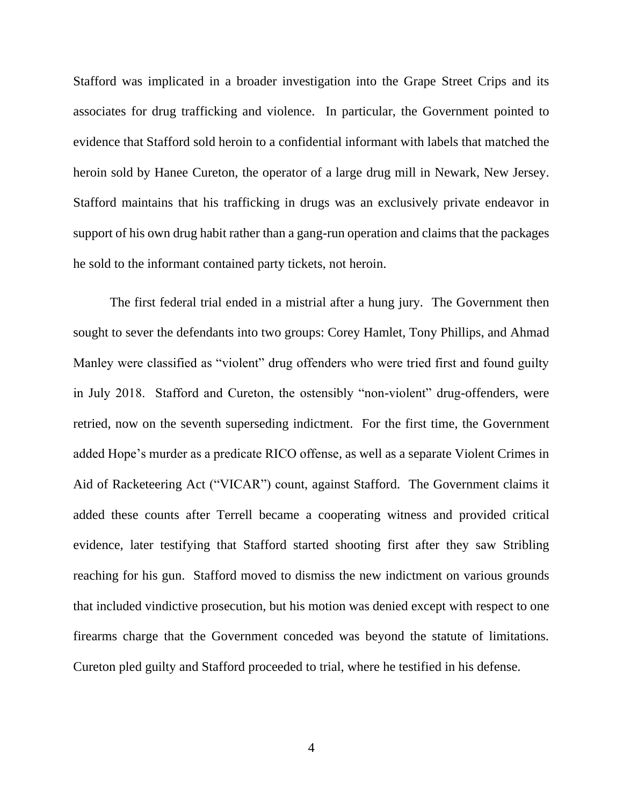Stafford was implicated in a broader investigation into the Grape Street Crips and its associates for drug trafficking and violence. In particular, the Government pointed to evidence that Stafford sold heroin to a confidential informant with labels that matched the heroin sold by Hanee Cureton, the operator of a large drug mill in Newark, New Jersey. Stafford maintains that his trafficking in drugs was an exclusively private endeavor in support of his own drug habit rather than a gang-run operation and claims that the packages he sold to the informant contained party tickets, not heroin.

The first federal trial ended in a mistrial after a hung jury. The Government then sought to sever the defendants into two groups: Corey Hamlet, Tony Phillips, and Ahmad Manley were classified as "violent" drug offenders who were tried first and found guilty in July 2018. Stafford and Cureton, the ostensibly "non-violent" drug-offenders, were retried, now on the seventh superseding indictment. For the first time, the Government added Hope's murder as a predicate RICO offense, as well as a separate Violent Crimes in Aid of Racketeering Act ("VICAR") count, against Stafford. The Government claims it added these counts after Terrell became a cooperating witness and provided critical evidence, later testifying that Stafford started shooting first after they saw Stribling reaching for his gun.Stafford moved to dismiss the new indictment on various grounds that included vindictive prosecution, but his motion was denied except with respect to one firearms charge that the Government conceded was beyond the statute of limitations. Cureton pled guilty and Stafford proceeded to trial, where he testified in his defense.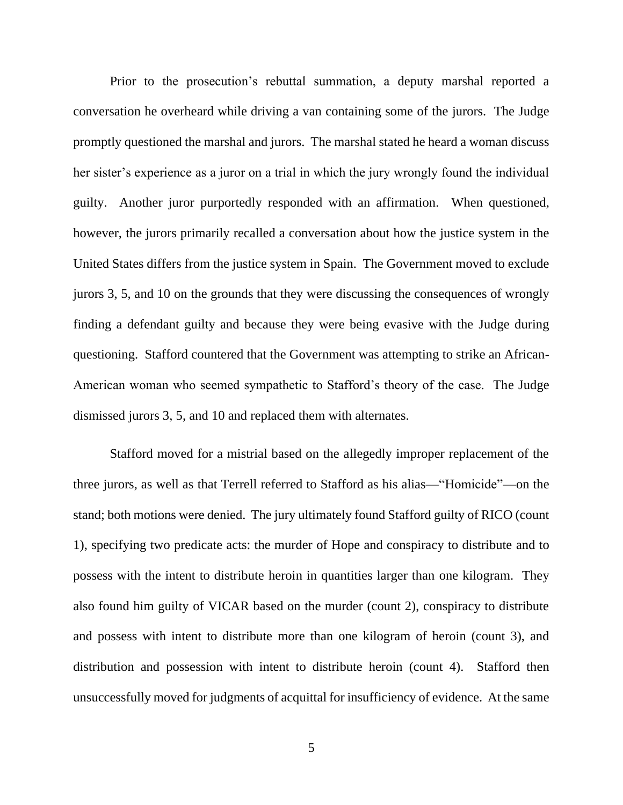Prior to the prosecution's rebuttal summation, a deputy marshal reported a conversation he overheard while driving a van containing some of the jurors. The Judge promptly questioned the marshal and jurors. The marshal stated he heard a woman discuss her sister's experience as a juror on a trial in which the jury wrongly found the individual guilty. Another juror purportedly responded with an affirmation. When questioned, however, the jurors primarily recalled a conversation about how the justice system in the United States differs from the justice system in Spain. The Government moved to exclude jurors 3, 5, and 10 on the grounds that they were discussing the consequences of wrongly finding a defendant guilty and because they were being evasive with the Judge during questioning. Stafford countered that the Government was attempting to strike an African-American woman who seemed sympathetic to Stafford's theory of the case. The Judge dismissed jurors 3, 5, and 10 and replaced them with alternates.

Stafford moved for a mistrial based on the allegedly improper replacement of the three jurors, as well as that Terrell referred to Stafford as his alias—"Homicide"—on the stand; both motions were denied. The jury ultimately found Stafford guilty of RICO (count 1), specifying two predicate acts: the murder of Hope and conspiracy to distribute and to possess with the intent to distribute heroin in quantities larger than one kilogram. They also found him guilty of VICAR based on the murder (count 2), conspiracy to distribute and possess with intent to distribute more than one kilogram of heroin (count 3), and distribution and possession with intent to distribute heroin (count 4). Stafford then unsuccessfully moved for judgments of acquittal for insufficiency of evidence. At the same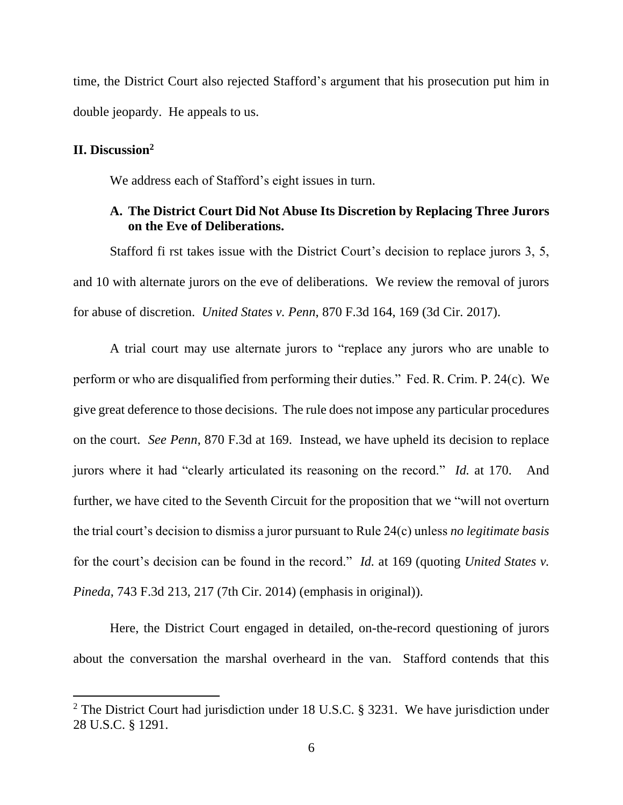time, the District Court also rejected Stafford's argument that his prosecution put him in double jeopardy. He appeals to us.

## **II. Discussion<sup>2</sup>**

We address each of Stafford's eight issues in turn.

# **A. The District Court Did Not Abuse Its Discretion by Replacing Three Jurors on the Eve of Deliberations.**

Stafford fi rst takes issue with the District Court's decision to replace jurors 3, 5, and 10 with alternate jurors on the eve of deliberations. We review the removal of jurors for abuse of discretion. *United States v. Penn*, 870 F.3d 164, 169 (3d Cir. 2017).

A trial court may use alternate jurors to "replace any jurors who are unable to perform or who are disqualified from performing their duties." Fed. R. Crim. P. 24(c). We give great deference to those decisions. The rule does not impose any particular procedures on the court. *See Penn*, 870 F.3d at 169. Instead, we have upheld its decision to replace jurors where it had "clearly articulated its reasoning on the record." *Id.* at 170. And further, we have cited to the Seventh Circuit for the proposition that we "will not overturn the trial court's decision to dismiss a juror pursuant to Rule 24(c) unless *no legitimate basis* for the court's decision can be found in the record." *Id.* at 169 (quoting *United States v. Pineda*, 743 F.3d 213, 217 (7th Cir. 2014) (emphasis in original)).

Here, the District Court engaged in detailed, on-the-record questioning of jurors about the conversation the marshal overheard in the van. Stafford contends that this

<sup>&</sup>lt;sup>2</sup> The District Court had jurisdiction under 18 U.S.C. § 3231. We have jurisdiction under 28 U.S.C. § 1291.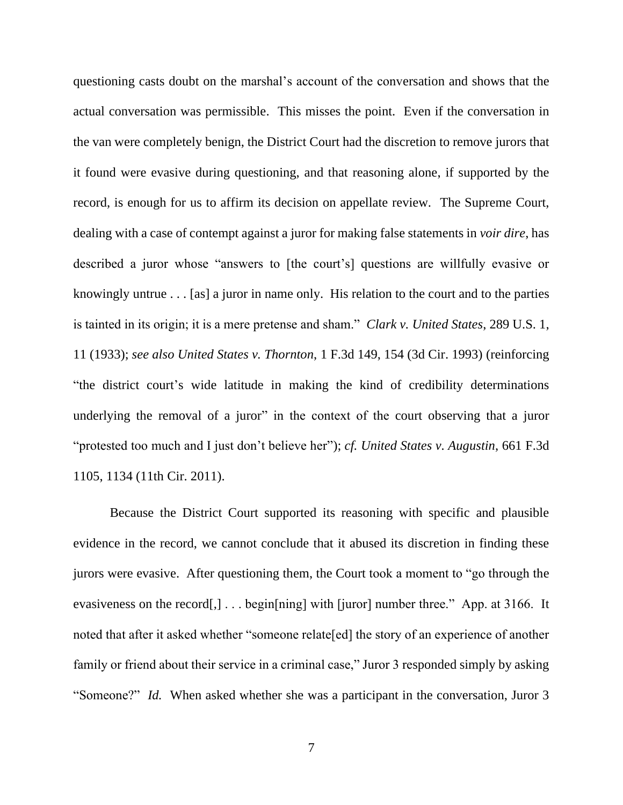questioning casts doubt on the marshal's account of the conversation and shows that the actual conversation was permissible. This misses the point. Even if the conversation in the van were completely benign, the District Court had the discretion to remove jurors that it found were evasive during questioning, and that reasoning alone, if supported by the record, is enough for us to affirm its decision on appellate review. The Supreme Court, dealing with a case of contempt against a juror for making false statements in *voir dire*, has described a juror whose "answers to [the court's] questions are willfully evasive or knowingly untrue . . . [as] a juror in name only. His relation to the court and to the parties is tainted in its origin; it is a mere pretense and sham." *Clark v. United States*, 289 U.S. 1, 11 (1933); *see also United States v. Thornton*, 1 F.3d 149, 154 (3d Cir. 1993) (reinforcing "the district court's wide latitude in making the kind of credibility determinations underlying the removal of a juror" in the context of the court observing that a juror "protested too much and I just don't believe her"); *cf. United States v. Augustin*, 661 F.3d 1105, 1134 (11th Cir. 2011).

Because the District Court supported its reasoning with specific and plausible evidence in the record, we cannot conclude that it abused its discretion in finding these jurors were evasive. After questioning them, the Court took a moment to "go through the evasiveness on the record[,]... begin[ning] with [juror] number three." App. at 3166. It noted that after it asked whether "someone relate[ed] the story of an experience of another family or friend about their service in a criminal case," Juror 3 responded simply by asking "Someone?" *Id.* When asked whether she was a participant in the conversation, Juror 3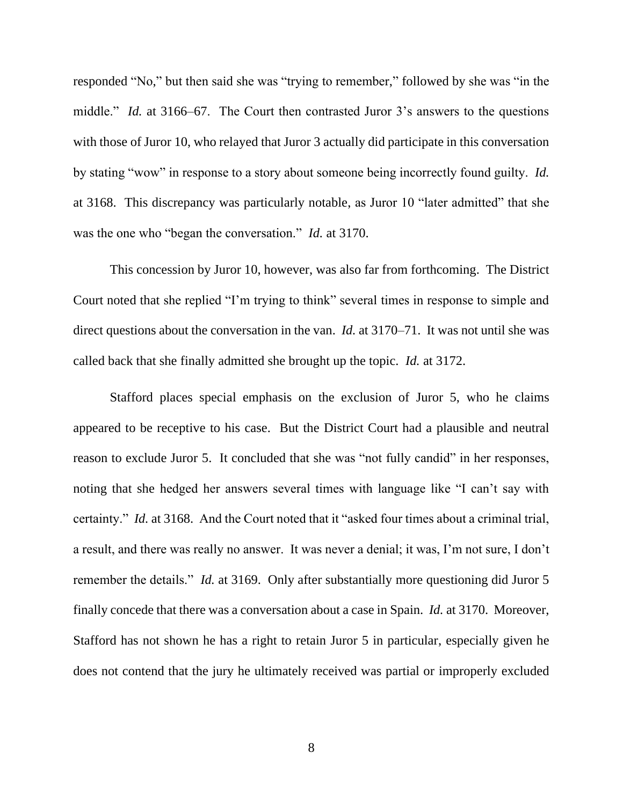responded "No," but then said she was "trying to remember," followed by she was "in the middle." *Id.* at 3166–67. The Court then contrasted Juror 3's answers to the questions with those of Juror 10, who relayed that Juror 3 actually did participate in this conversation by stating "wow" in response to a story about someone being incorrectly found guilty. *Id.*  at 3168. This discrepancy was particularly notable, as Juror 10 "later admitted" that she was the one who "began the conversation." *Id.* at 3170.

This concession by Juror 10, however, was also far from forthcoming. The District Court noted that she replied "I'm trying to think" several times in response to simple and direct questions about the conversation in the van. *Id.* at 3170–71. It was not until she was called back that she finally admitted she brought up the topic. *Id.* at 3172.

Stafford places special emphasis on the exclusion of Juror 5, who he claims appeared to be receptive to his case. But the District Court had a plausible and neutral reason to exclude Juror 5. It concluded that she was "not fully candid" in her responses, noting that she hedged her answers several times with language like "I can't say with certainty." *Id.* at 3168. And the Court noted that it "asked four times about a criminal trial, a result, and there was really no answer. It was never a denial; it was, I'm not sure, I don't remember the details." *Id.* at 3169. Only after substantially more questioning did Juror 5 finally concede that there was a conversation about a case in Spain. *Id.* at 3170. Moreover, Stafford has not shown he has a right to retain Juror 5 in particular, especially given he does not contend that the jury he ultimately received was partial or improperly excluded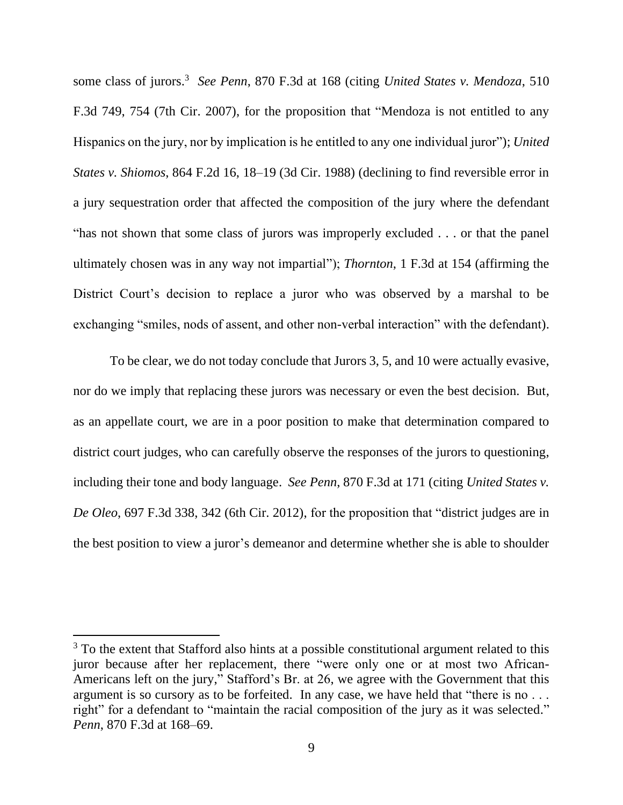some class of jurors. 3 *See Penn*, 870 F.3d at 168 (citing *United States v. Mendoza*, 510 F.3d 749, 754 (7th Cir. 2007), for the proposition that "Mendoza is not entitled to any Hispanics on the jury, nor by implication is he entitled to any one individual juror"); *United States v. Shiomos*, 864 F.2d 16, 18–19 (3d Cir. 1988) (declining to find reversible error in a jury sequestration order that affected the composition of the jury where the defendant "has not shown that some class of jurors was improperly excluded . . . or that the panel ultimately chosen was in any way not impartial"); *Thornton*, 1 F.3d at 154 (affirming the District Court's decision to replace a juror who was observed by a marshal to be exchanging "smiles, nods of assent, and other non-verbal interaction" with the defendant).

To be clear, we do not today conclude that Jurors 3, 5, and 10 were actually evasive, nor do we imply that replacing these jurors was necessary or even the best decision. But, as an appellate court, we are in a poor position to make that determination compared to district court judges, who can carefully observe the responses of the jurors to questioning, including their tone and body language. *See Penn*, 870 F.3d at 171 (citing *United States v. De Oleo*, 697 F.3d 338, 342 (6th Cir. 2012), for the proposition that "district judges are in the best position to view a juror's demeanor and determine whether she is able to shoulder

<sup>&</sup>lt;sup>3</sup> To the extent that Stafford also hints at a possible constitutional argument related to this juror because after her replacement, there "were only one or at most two African-Americans left on the jury," Stafford's Br. at 26, we agree with the Government that this argument is so cursory as to be forfeited. In any case, we have held that "there is no ... right" for a defendant to "maintain the racial composition of the jury as it was selected." *Penn*, 870 F.3d at 168–69.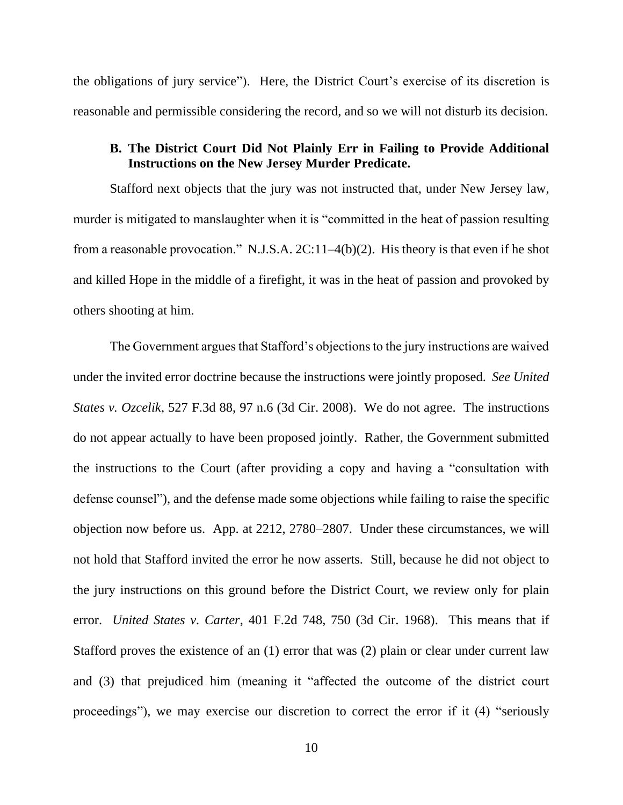the obligations of jury service"). Here, the District Court's exercise of its discretion is reasonable and permissible considering the record, and so we will not disturb its decision.

#### **B. The District Court Did Not Plainly Err in Failing to Provide Additional Instructions on the New Jersey Murder Predicate.**

Stafford next objects that the jury was not instructed that, under New Jersey law, murder is mitigated to manslaughter when it is "committed in the heat of passion resulting from a reasonable provocation." N.J.S.A. 2C:11–4(b)(2). His theory is that even if he shot and killed Hope in the middle of a firefight, it was in the heat of passion and provoked by others shooting at him.

The Government argues that Stafford's objections to the jury instructions are waived under the invited error doctrine because the instructions were jointly proposed. *See United States v. Ozcelik*, 527 F.3d 88, 97 n.6 (3d Cir. 2008). We do not agree. The instructions do not appear actually to have been proposed jointly. Rather, the Government submitted the instructions to the Court (after providing a copy and having a "consultation with defense counsel"), and the defense made some objections while failing to raise the specific objection now before us. App. at 2212, 2780–2807. Under these circumstances, we will not hold that Stafford invited the error he now asserts. Still, because he did not object to the jury instructions on this ground before the District Court, we review only for plain error. *United States v. Carter*, 401 F.2d 748, 750 (3d Cir. 1968). This means that if Stafford proves the existence of an (1) error that was (2) plain or clear under current law and (3) that prejudiced him (meaning it "affected the outcome of the district court proceedings"), we may exercise our discretion to correct the error if it (4) "seriously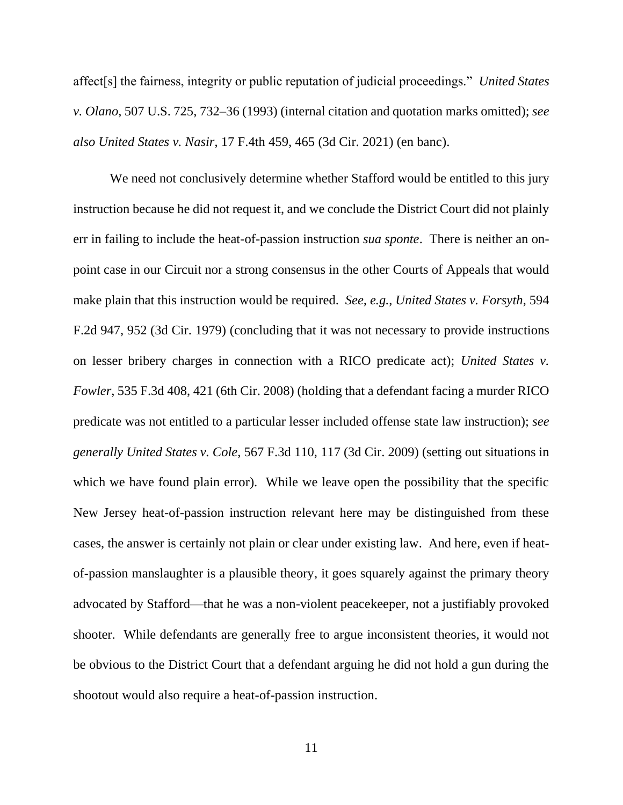affect[s] the fairness, integrity or public reputation of judicial proceedings." *United States v. Olano*, 507 U.S. 725, 732–36 (1993) (internal citation and quotation marks omitted); *see also United States v. Nasir*, 17 F.4th 459, 465 (3d Cir. 2021) (en banc).

We need not conclusively determine whether Stafford would be entitled to this jury instruction because he did not request it, and we conclude the District Court did not plainly err in failing to include the heat-of-passion instruction *sua sponte*. There is neither an onpoint case in our Circuit nor a strong consensus in the other Courts of Appeals that would make plain that this instruction would be required. *See, e.g.*, *United States v. Forsyth*, 594 F.2d 947, 952 (3d Cir. 1979) (concluding that it was not necessary to provide instructions on lesser bribery charges in connection with a RICO predicate act); *United States v. Fowler*, 535 F.3d 408, 421 (6th Cir. 2008) (holding that a defendant facing a murder RICO predicate was not entitled to a particular lesser included offense state law instruction); *see generally United States v. Cole*, 567 F.3d 110, 117 (3d Cir. 2009) (setting out situations in which we have found plain error). While we leave open the possibility that the specific New Jersey heat-of-passion instruction relevant here may be distinguished from these cases, the answer is certainly not plain or clear under existing law. And here, even if heatof-passion manslaughter is a plausible theory, it goes squarely against the primary theory advocated by Stafford—that he was a non-violent peacekeeper, not a justifiably provoked shooter. While defendants are generally free to argue inconsistent theories, it would not be obvious to the District Court that a defendant arguing he did not hold a gun during the shootout would also require a heat-of-passion instruction.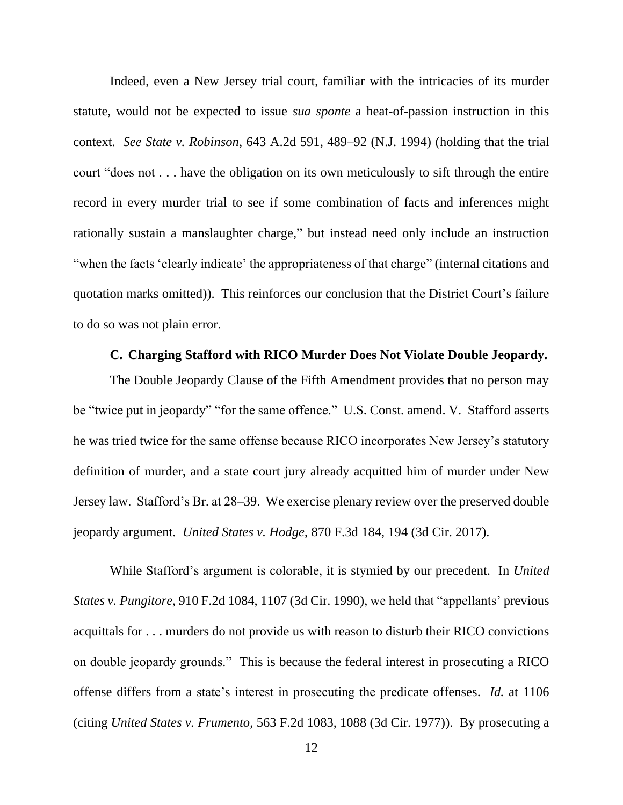Indeed, even a New Jersey trial court, familiar with the intricacies of its murder statute, would not be expected to issue *sua sponte* a heat-of-passion instruction in this context. *See State v. Robinson*, 643 A.2d 591, 489–92 (N.J. 1994) (holding that the trial court "does not . . . have the obligation on its own meticulously to sift through the entire record in every murder trial to see if some combination of facts and inferences might rationally sustain a manslaughter charge," but instead need only include an instruction "when the facts 'clearly indicate' the appropriateness of that charge" (internal citations and quotation marks omitted)). This reinforces our conclusion that the District Court's failure to do so was not plain error.

#### **C. Charging Stafford with RICO Murder Does Not Violate Double Jeopardy.**

The Double Jeopardy Clause of the Fifth Amendment provides that no person may be "twice put in jeopardy" "for the same offence." U.S. Const. amend. V. Stafford asserts he was tried twice for the same offense because RICO incorporates New Jersey's statutory definition of murder, and a state court jury already acquitted him of murder under New Jersey law. Stafford's Br. at 28–39. We exercise plenary review over the preserved double jeopardy argument. *United States v. Hodge*, 870 F.3d 184, 194 (3d Cir. 2017).

While Stafford's argument is colorable, it is stymied by our precedent. In *United States v. Pungitore*, 910 F.2d 1084, 1107 (3d Cir. 1990), we held that "appellants' previous acquittals for . . . murders do not provide us with reason to disturb their RICO convictions on double jeopardy grounds." This is because the federal interest in prosecuting a RICO offense differs from a state's interest in prosecuting the predicate offenses. *Id.* at 1106 (citing *United States v. Frumento*, 563 F.2d 1083, 1088 (3d Cir. 1977)). By prosecuting a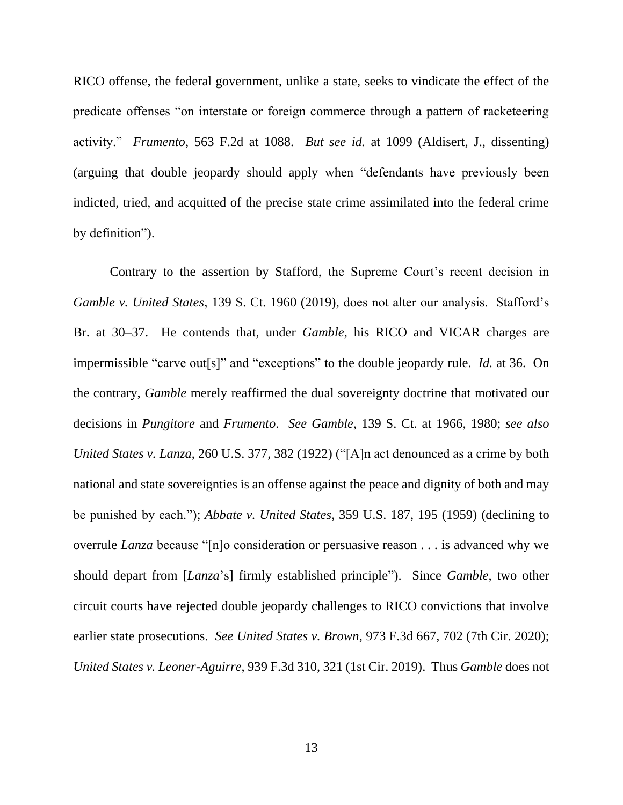RICO offense, the federal government, unlike a state, seeks to vindicate the effect of the predicate offenses "on interstate or foreign commerce through a pattern of racketeering activity." *Frumento*, 563 F.2d at 1088. *But see id.* at 1099 (Aldisert, J., dissenting) (arguing that double jeopardy should apply when "defendants have previously been indicted, tried, and acquitted of the precise state crime assimilated into the federal crime by definition").

Contrary to the assertion by Stafford, the Supreme Court's recent decision in *Gamble v. United States*, 139 S. Ct. 1960 (2019), does not alter our analysis. Stafford's Br. at 30–37. He contends that, under *Gamble*, his RICO and VICAR charges are impermissible "carve out[s]" and "exceptions" to the double jeopardy rule. *Id.* at 36. On the contrary, *Gamble* merely reaffirmed the dual sovereignty doctrine that motivated our decisions in *Pungitore* and *Frumento*. *See Gamble*, 139 S. Ct. at 1966, 1980; *see also United States v. Lanza*, 260 U.S. 377, 382 (1922) ("[A]n act denounced as a crime by both national and state sovereignties is an offense against the peace and dignity of both and may be punished by each."); *Abbate v. United States*, 359 U.S. 187, 195 (1959) (declining to overrule *Lanza* because "[n]o consideration or persuasive reason . . . is advanced why we should depart from [*Lanza*'s] firmly established principle"). Since *Gamble*, two other circuit courts have rejected double jeopardy challenges to RICO convictions that involve earlier state prosecutions. *See United States v. Brown*, 973 F.3d 667, 702 (7th Cir. 2020); *United States v. Leoner-Aguirre*, 939 F.3d 310, 321 (1st Cir. 2019). Thus *Gamble* does not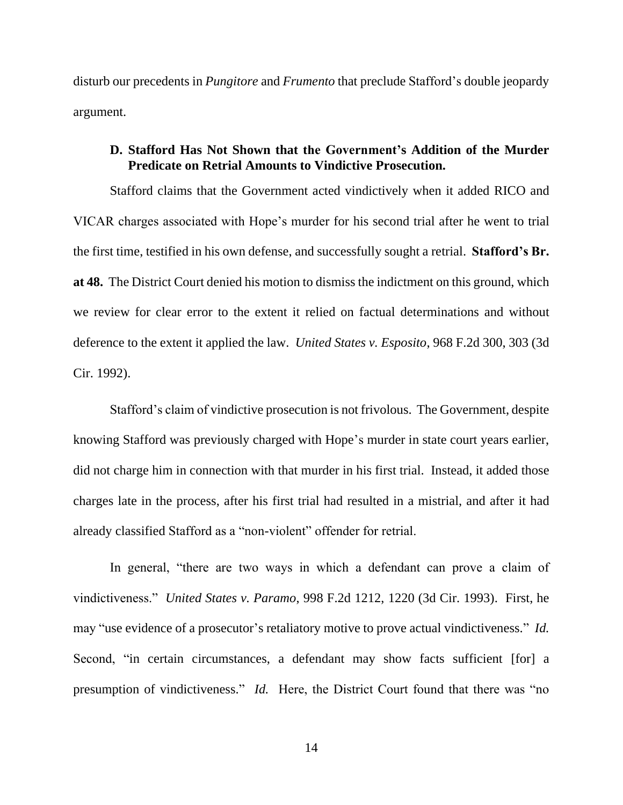disturb our precedents in *Pungitore* and *Frumento* that preclude Stafford's double jeopardy argument.

# **D. Stafford Has Not Shown that the Government's Addition of the Murder Predicate on Retrial Amounts to Vindictive Prosecution.**

Stafford claims that the Government acted vindictively when it added RICO and VICAR charges associated with Hope's murder for his second trial after he went to trial the first time, testified in his own defense, and successfully sought a retrial. **Stafford's Br. at 48.** The District Court denied his motion to dismiss the indictment on this ground, which we review for clear error to the extent it relied on factual determinations and without deference to the extent it applied the law. *United States v. Esposito*, 968 F.2d 300, 303 (3d Cir. 1992).

Stafford's claim of vindictive prosecution is not frivolous. The Government, despite knowing Stafford was previously charged with Hope's murder in state court years earlier, did not charge him in connection with that murder in his first trial. Instead, it added those charges late in the process, after his first trial had resulted in a mistrial, and after it had already classified Stafford as a "non-violent" offender for retrial.

In general, "there are two ways in which a defendant can prove a claim of vindictiveness." *United States v. Paramo*, 998 F.2d 1212, 1220 (3d Cir. 1993). First, he may "use evidence of a prosecutor's retaliatory motive to prove actual vindictiveness." *Id.* Second, "in certain circumstances, a defendant may show facts sufficient [for] a presumption of vindictiveness." *Id.* Here, the District Court found that there was "no

14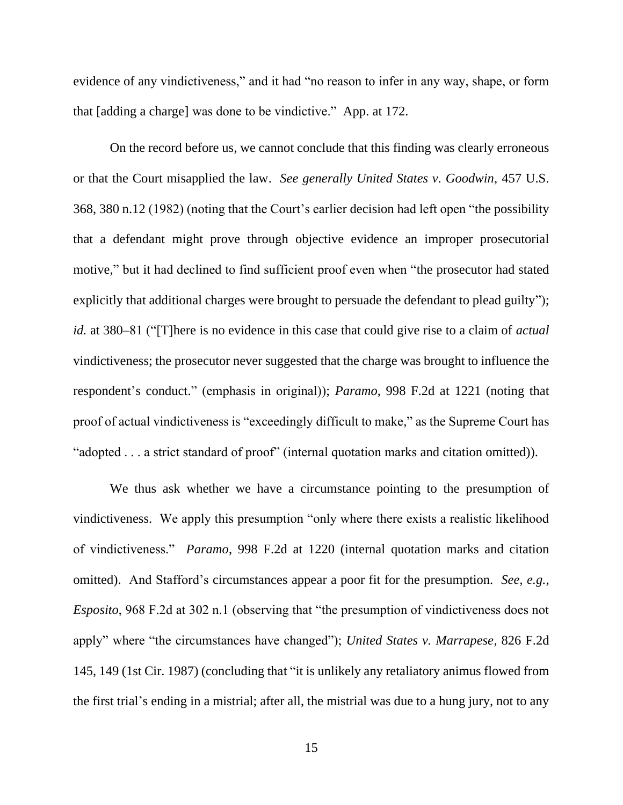evidence of any vindictiveness," and it had "no reason to infer in any way, shape, or form that [adding a charge] was done to be vindictive." App. at 172.

On the record before us, we cannot conclude that this finding was clearly erroneous or that the Court misapplied the law. *See generally United States v. Goodwin*, 457 U.S. 368, 380 n.12 (1982) (noting that the Court's earlier decision had left open "the possibility that a defendant might prove through objective evidence an improper prosecutorial motive," but it had declined to find sufficient proof even when "the prosecutor had stated explicitly that additional charges were brought to persuade the defendant to plead guilty"); *id.* at 380–81 ("[T]here is no evidence in this case that could give rise to a claim of *actual* vindictiveness; the prosecutor never suggested that the charge was brought to influence the respondent's conduct." (emphasis in original)); *Paramo*, 998 F.2d at 1221 (noting that proof of actual vindictiveness is "exceedingly difficult to make," as the Supreme Court has "adopted . . . a strict standard of proof" (internal quotation marks and citation omitted)).

We thus ask whether we have a circumstance pointing to the presumption of vindictiveness. We apply this presumption "only where there exists a realistic likelihood of vindictiveness." *Paramo*, 998 F.2d at 1220 (internal quotation marks and citation omitted). And Stafford's circumstances appear a poor fit for the presumption. *See, e.g.*, *Esposito*, 968 F.2d at 302 n.1 (observing that "the presumption of vindictiveness does not apply" where "the circumstances have changed"); *United States v. Marrapese*, 826 F.2d 145, 149 (1st Cir. 1987) (concluding that "it is unlikely any retaliatory animus flowed from the first trial's ending in a mistrial; after all, the mistrial was due to a hung jury, not to any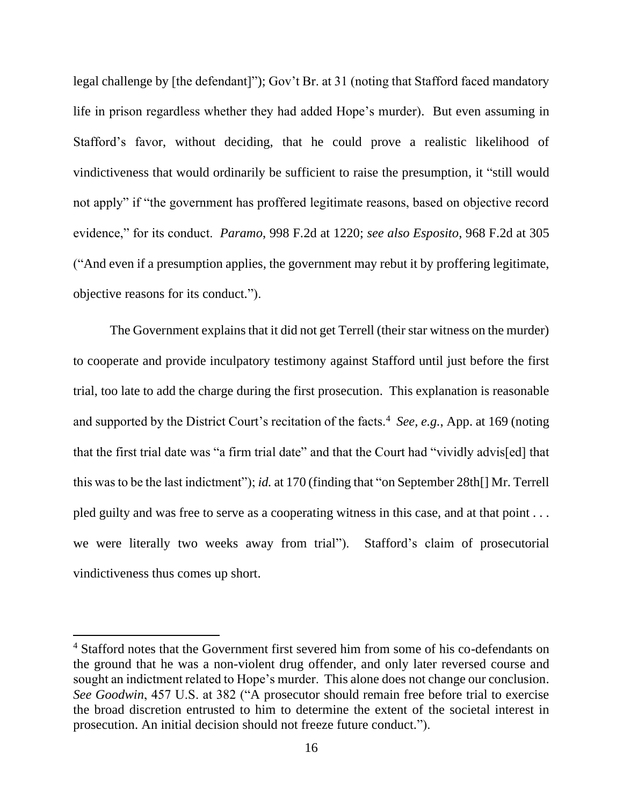legal challenge by [the defendant]"); Gov't Br. at 31 (noting that Stafford faced mandatory life in prison regardless whether they had added Hope's murder). But even assuming in Stafford's favor, without deciding, that he could prove a realistic likelihood of vindictiveness that would ordinarily be sufficient to raise the presumption, it "still would not apply" if "the government has proffered legitimate reasons, based on objective record evidence," for its conduct. *Paramo*, 998 F.2d at 1220; *see also Esposito*, 968 F.2d at 305 ("And even if a presumption applies, the government may rebut it by proffering legitimate, objective reasons for its conduct.").

The Government explains that it did not get Terrell (their star witness on the murder) to cooperate and provide inculpatory testimony against Stafford until just before the first trial, too late to add the charge during the first prosecution. This explanation is reasonable and supported by the District Court's recitation of the facts.<sup>4</sup> See, e.g., App. at 169 (noting that the first trial date was "a firm trial date" and that the Court had "vividly advis[ed] that this was to be the last indictment"); *id.* at 170 (finding that "on September 28th[] Mr. Terrell pled guilty and was free to serve as a cooperating witness in this case, and at that point . . . we were literally two weeks away from trial"). Stafford's claim of prosecutorial vindictiveness thus comes up short.

<sup>4</sup> Stafford notes that the Government first severed him from some of his co-defendants on the ground that he was a non-violent drug offender, and only later reversed course and sought an indictment related to Hope's murder. This alone does not change our conclusion. *See Goodwin*, 457 U.S. at 382 ("A prosecutor should remain free before trial to exercise the broad discretion entrusted to him to determine the extent of the societal interest in prosecution. An initial decision should not freeze future conduct.").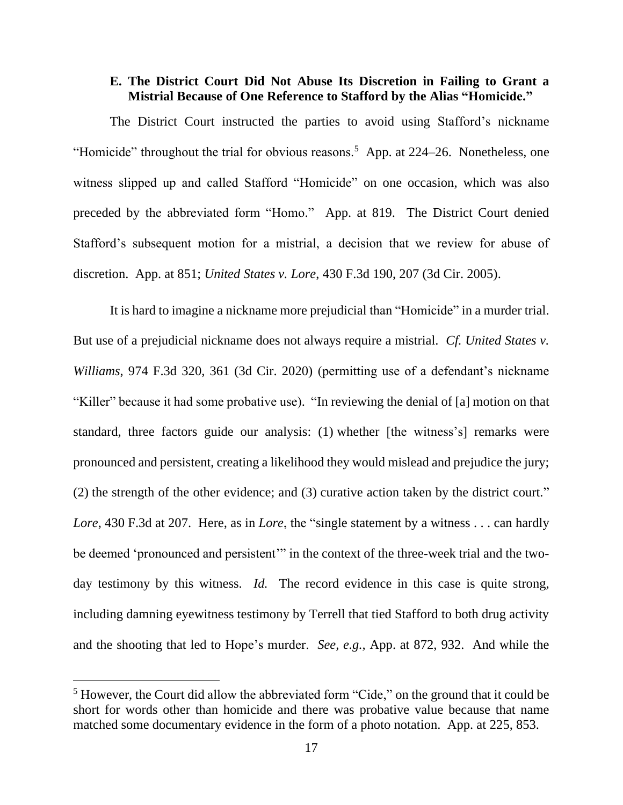## **E. The District Court Did Not Abuse Its Discretion in Failing to Grant a Mistrial Because of One Reference to Stafford by the Alias "Homicide."**

The District Court instructed the parties to avoid using Stafford's nickname "Homicide" throughout the trial for obvious reasons.<sup>5</sup> App. at  $224-26$ . Nonetheless, one witness slipped up and called Stafford "Homicide" on one occasion, which was also preceded by the abbreviated form "Homo." App. at 819. The District Court denied Stafford's subsequent motion for a mistrial, a decision that we review for abuse of discretion. App. at 851; *United States v. Lore*, 430 F.3d 190, 207 (3d Cir. 2005).

It is hard to imagine a nickname more prejudicial than "Homicide" in a murder trial. But use of a prejudicial nickname does not always require a mistrial. *Cf. United States v. Williams*, 974 F.3d 320, 361 (3d Cir. 2020) (permitting use of a defendant's nickname "Killer" because it had some probative use). "In reviewing the denial of [a] motion on that standard, three factors guide our analysis: (1) whether [the witness's] remarks were pronounced and persistent, creating a likelihood they would mislead and prejudice the jury; (2) the strength of the other evidence; and (3) curative action taken by the district court." *Lore*, 430 F.3d at 207. Here, as in *Lore*, the "single statement by a witness . . . can hardly be deemed 'pronounced and persistent'" in the context of the three-week trial and the twoday testimony by this witness. *Id.* The record evidence in this case is quite strong, including damning eyewitness testimony by Terrell that tied Stafford to both drug activity and the shooting that led to Hope's murder. *See, e.g.,* App. at 872, 932. And while the

<sup>5</sup> However, the Court did allow the abbreviated form "Cide," on the ground that it could be short for words other than homicide and there was probative value because that name matched some documentary evidence in the form of a photo notation. App. at 225, 853.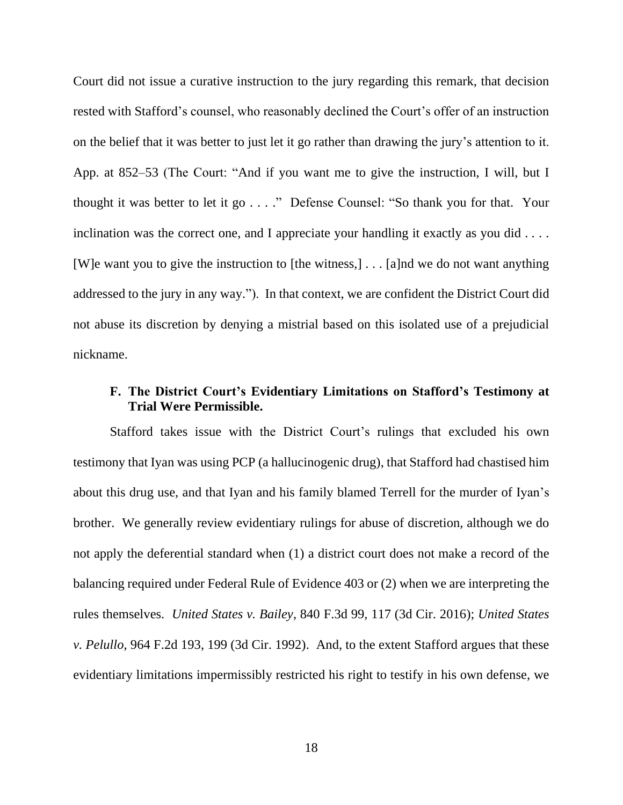Court did not issue a curative instruction to the jury regarding this remark, that decision rested with Stafford's counsel, who reasonably declined the Court's offer of an instruction on the belief that it was better to just let it go rather than drawing the jury's attention to it. App. at 852–53 (The Court: "And if you want me to give the instruction, I will, but I thought it was better to let it go . . . ." Defense Counsel: "So thank you for that. Your inclination was the correct one, and I appreciate your handling it exactly as you did . . . . [W]e want you to give the instruction to [the witness,] . . . [a]nd we do not want anything addressed to the jury in any way."). In that context, we are confident the District Court did not abuse its discretion by denying a mistrial based on this isolated use of a prejudicial nickname.

# **F. The District Court's Evidentiary Limitations on Stafford's Testimony at Trial Were Permissible.**

Stafford takes issue with the District Court's rulings that excluded his own testimony that Iyan was using PCP (a hallucinogenic drug), that Stafford had chastised him about this drug use, and that Iyan and his family blamed Terrell for the murder of Iyan's brother. We generally review evidentiary rulings for abuse of discretion, although we do not apply the deferential standard when (1) a district court does not make a record of the balancing required under Federal Rule of Evidence 403 or (2) when we are interpreting the rules themselves. *United States v. Bailey*, 840 F.3d 99, 117 (3d Cir. 2016); *United States v. Pelullo*, 964 F.2d 193, 199 (3d Cir. 1992). And, to the extent Stafford argues that these evidentiary limitations impermissibly restricted his right to testify in his own defense, we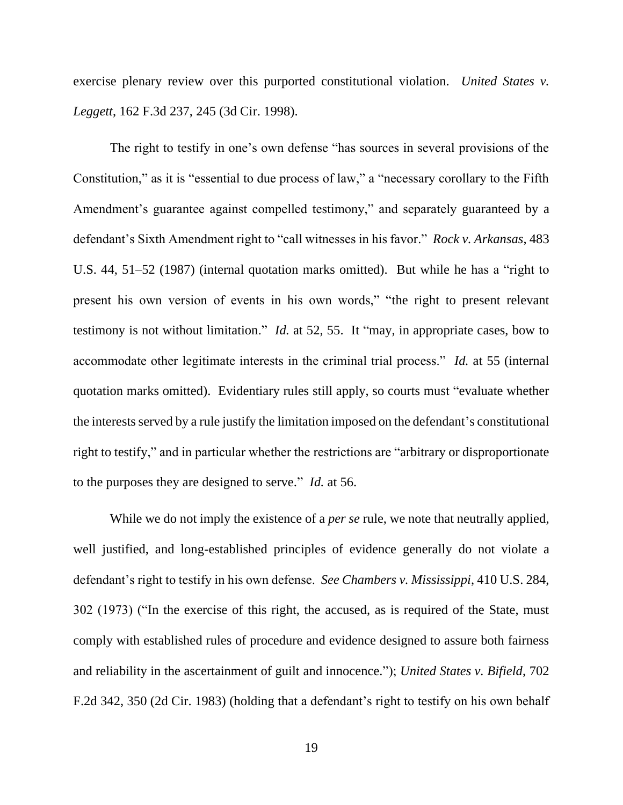exercise plenary review over this purported constitutional violation. *United States v. Leggett*, 162 F.3d 237, 245 (3d Cir. 1998).

The right to testify in one's own defense "has sources in several provisions of the Constitution," as it is "essential to due process of law," a "necessary corollary to the Fifth Amendment's guarantee against compelled testimony," and separately guaranteed by a defendant's Sixth Amendment right to "call witnesses in his favor." *Rock v. Arkansas*, 483 U.S. 44, 51–52 (1987) (internal quotation marks omitted). But while he has a "right to present his own version of events in his own words," "the right to present relevant testimony is not without limitation." *Id.* at 52, 55. It "may, in appropriate cases, bow to accommodate other legitimate interests in the criminal trial process." *Id.* at 55 (internal quotation marks omitted). Evidentiary rules still apply, so courts must "evaluate whether the interests served by a rule justify the limitation imposed on the defendant's constitutional right to testify," and in particular whether the restrictions are "arbitrary or disproportionate to the purposes they are designed to serve." *Id.* at 56.

While we do not imply the existence of a *per se* rule, we note that neutrally applied, well justified, and long-established principles of evidence generally do not violate a defendant's right to testify in his own defense. *See Chambers v. Mississippi*, 410 U.S. 284, 302 (1973) ("In the exercise of this right, the accused, as is required of the State, must comply with established rules of procedure and evidence designed to assure both fairness and reliability in the ascertainment of guilt and innocence."); *United States v. Bifield*, 702 F.2d 342, 350 (2d Cir. 1983) (holding that a defendant's right to testify on his own behalf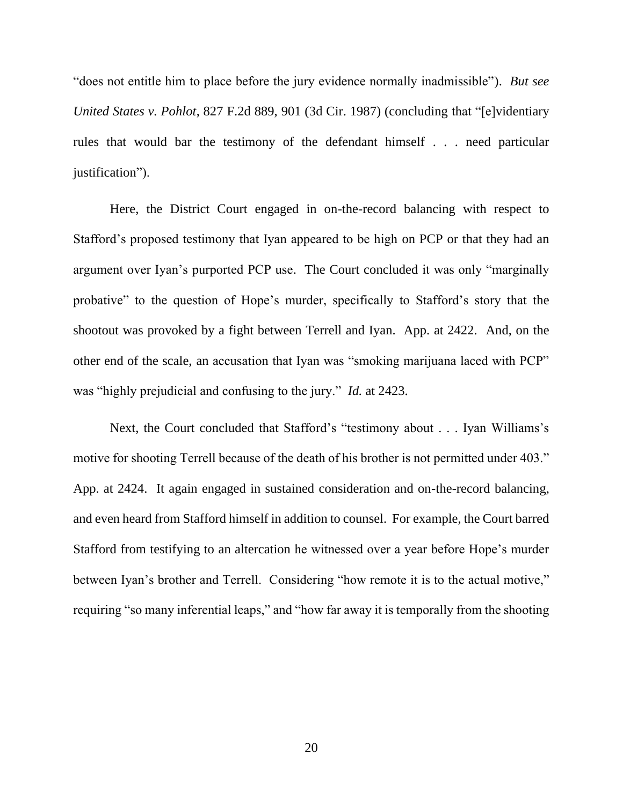"does not entitle him to place before the jury evidence normally inadmissible"). *But see United States v. Pohlot*, 827 F.2d 889, 901 (3d Cir. 1987) (concluding that "[e]videntiary rules that would bar the testimony of the defendant himself . . . need particular justification").

Here, the District Court engaged in on-the-record balancing with respect to Stafford's proposed testimony that Iyan appeared to be high on PCP or that they had an argument over Iyan's purported PCP use. The Court concluded it was only "marginally probative" to the question of Hope's murder, specifically to Stafford's story that the shootout was provoked by a fight between Terrell and Iyan. App. at 2422. And, on the other end of the scale, an accusation that Iyan was "smoking marijuana laced with PCP" was "highly prejudicial and confusing to the jury." *Id.* at 2423.

Next, the Court concluded that Stafford's "testimony about . . . Iyan Williams's motive for shooting Terrell because of the death of his brother is not permitted under 403." App. at 2424. It again engaged in sustained consideration and on-the-record balancing, and even heard from Stafford himself in addition to counsel. For example, the Court barred Stafford from testifying to an altercation he witnessed over a year before Hope's murder between Iyan's brother and Terrell. Considering "how remote it is to the actual motive," requiring "so many inferential leaps," and "how far away it is temporally from the shooting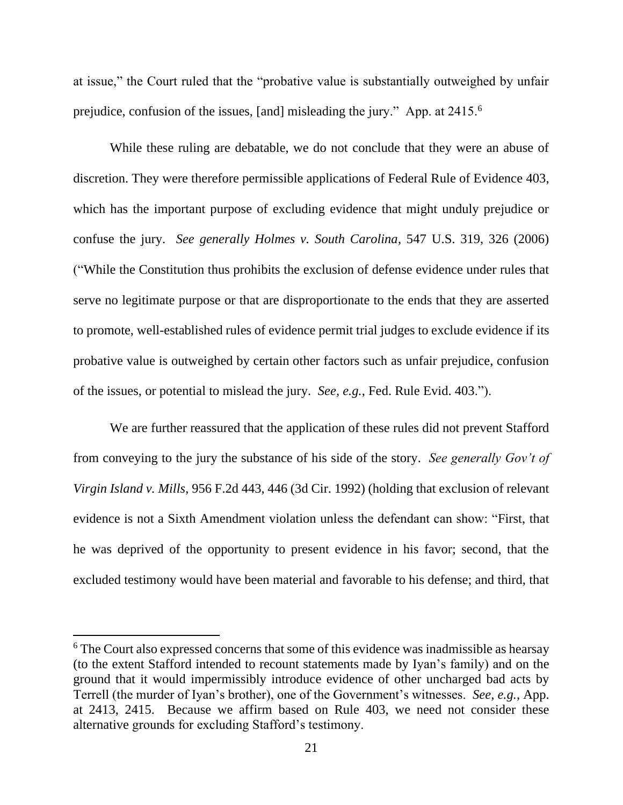at issue," the Court ruled that the "probative value is substantially outweighed by unfair prejudice, confusion of the issues, [and] misleading the jury." App. at 2415.<sup>6</sup>

While these ruling are debatable, we do not conclude that they were an abuse of discretion. They were therefore permissible applications of Federal Rule of Evidence 403, which has the important purpose of excluding evidence that might unduly prejudice or confuse the jury. *See generally Holmes v. South Carolina*, 547 U.S. 319, 326 (2006) ("While the Constitution thus prohibits the exclusion of defense evidence under rules that serve no legitimate purpose or that are disproportionate to the ends that they are asserted to promote, well-established rules of evidence permit trial judges to exclude evidence if its probative value is outweighed by certain other factors such as unfair prejudice, confusion of the issues, or potential to mislead the jury. *See, e.g.*, Fed. Rule Evid. 403.").

We are further reassured that the application of these rules did not prevent Stafford from conveying to the jury the substance of his side of the story. *See generally Gov't of Virgin Island v. Mills*, 956 F.2d 443, 446 (3d Cir. 1992) (holding that exclusion of relevant evidence is not a Sixth Amendment violation unless the defendant can show: "First, that he was deprived of the opportunity to present evidence in his favor; second, that the excluded testimony would have been material and favorable to his defense; and third, that

<sup>&</sup>lt;sup>6</sup> The Court also expressed concerns that some of this evidence was inadmissible as hearsay (to the extent Stafford intended to recount statements made by Iyan's family) and on the ground that it would impermissibly introduce evidence of other uncharged bad acts by Terrell (the murder of Iyan's brother), one of the Government's witnesses. *See, e.g.*, App. at 2413, 2415. Because we affirm based on Rule 403, we need not consider these alternative grounds for excluding Stafford's testimony.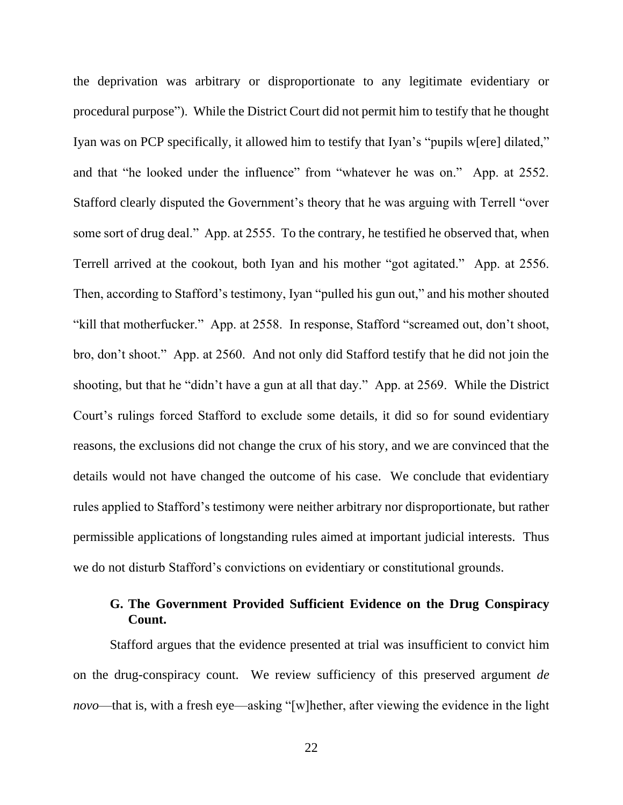the deprivation was arbitrary or disproportionate to any legitimate evidentiary or procedural purpose"). While the District Court did not permit him to testify that he thought Iyan was on PCP specifically, it allowed him to testify that Iyan's "pupils w[ere] dilated," and that "he looked under the influence" from "whatever he was on." App. at 2552. Stafford clearly disputed the Government's theory that he was arguing with Terrell "over some sort of drug deal." App. at 2555. To the contrary, he testified he observed that, when Terrell arrived at the cookout, both Iyan and his mother "got agitated." App. at 2556. Then, according to Stafford's testimony, Iyan "pulled his gun out," and his mother shouted "kill that motherfucker." App. at 2558. In response, Stafford "screamed out, don't shoot, bro, don't shoot." App. at 2560. And not only did Stafford testify that he did not join the shooting, but that he "didn't have a gun at all that day." App. at 2569. While the District Court's rulings forced Stafford to exclude some details, it did so for sound evidentiary reasons, the exclusions did not change the crux of his story, and we are convinced that the details would not have changed the outcome of his case. We conclude that evidentiary rules applied to Stafford's testimony were neither arbitrary nor disproportionate, but rather permissible applications of longstanding rules aimed at important judicial interests. Thus we do not disturb Stafford's convictions on evidentiary or constitutional grounds.

# **G. The Government Provided Sufficient Evidence on the Drug Conspiracy Count.**

Stafford argues that the evidence presented at trial was insufficient to convict him on the drug-conspiracy count. We review sufficiency of this preserved argument *de novo*—that is, with a fresh eye—asking "[w]hether, after viewing the evidence in the light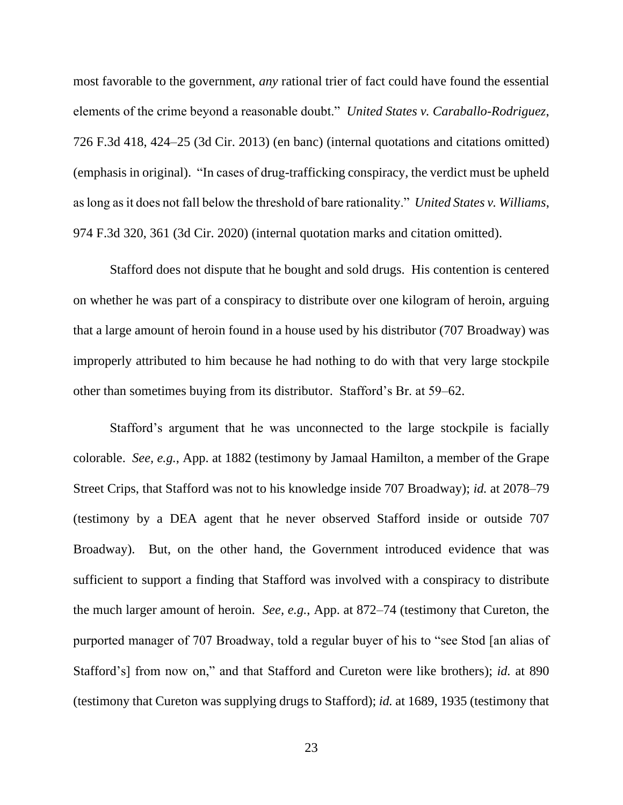most favorable to the government, *any* rational trier of fact could have found the essential elements of the crime beyond a reasonable doubt." *United States v. Caraballo-Rodriguez*, 726 F.3d 418, 424–25 (3d Cir. 2013) (en banc) (internal quotations and citations omitted) (emphasis in original). "In cases of drug-trafficking conspiracy, the verdict must be upheld as long as it does not fall below the threshold of bare rationality." *United States v. Williams*, 974 F.3d 320, 361 (3d Cir. 2020) (internal quotation marks and citation omitted).

Stafford does not dispute that he bought and sold drugs. His contention is centered on whether he was part of a conspiracy to distribute over one kilogram of heroin, arguing that a large amount of heroin found in a house used by his distributor (707 Broadway) was improperly attributed to him because he had nothing to do with that very large stockpile other than sometimes buying from its distributor. Stafford's Br. at 59–62.

Stafford's argument that he was unconnected to the large stockpile is facially colorable. *See, e.g.*, App. at 1882 (testimony by Jamaal Hamilton, a member of the Grape Street Crips, that Stafford was not to his knowledge inside 707 Broadway); *id.* at 2078–79 (testimony by a DEA agent that he never observed Stafford inside or outside 707 Broadway). But, on the other hand, the Government introduced evidence that was sufficient to support a finding that Stafford was involved with a conspiracy to distribute the much larger amount of heroin. *See, e.g.*, App. at 872–74 (testimony that Cureton, the purported manager of 707 Broadway, told a regular buyer of his to "see Stod [an alias of Stafford's] from now on," and that Stafford and Cureton were like brothers); *id.* at 890 (testimony that Cureton was supplying drugs to Stafford); *id.* at 1689, 1935 (testimony that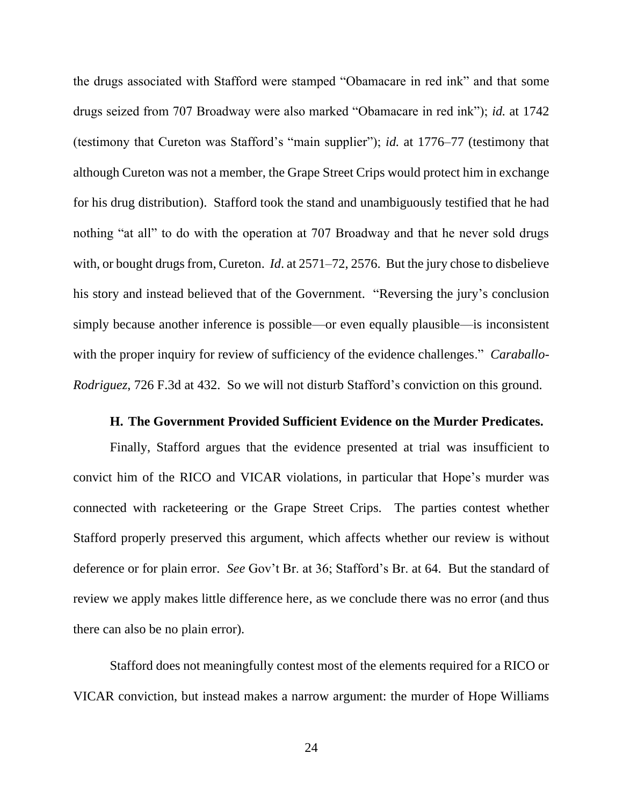the drugs associated with Stafford were stamped "Obamacare in red ink" and that some drugs seized from 707 Broadway were also marked "Obamacare in red ink"); *id.* at 1742 (testimony that Cureton was Stafford's "main supplier"); *id.* at 1776–77 (testimony that although Cureton was not a member, the Grape Street Crips would protect him in exchange for his drug distribution). Stafford took the stand and unambiguously testified that he had nothing "at all" to do with the operation at 707 Broadway and that he never sold drugs with, or bought drugs from, Cureton. *Id*. at 2571–72, 2576. But the jury chose to disbelieve his story and instead believed that of the Government. "Reversing the jury's conclusion simply because another inference is possible—or even equally plausible—is inconsistent with the proper inquiry for review of sufficiency of the evidence challenges." *Caraballo-Rodriguez*, 726 F.3d at 432. So we will not disturb Stafford's conviction on this ground.

#### **H. The Government Provided Sufficient Evidence on the Murder Predicates.**

Finally, Stafford argues that the evidence presented at trial was insufficient to convict him of the RICO and VICAR violations, in particular that Hope's murder was connected with racketeering or the Grape Street Crips. The parties contest whether Stafford properly preserved this argument, which affects whether our review is without deference or for plain error. *See* Gov't Br. at 36; Stafford's Br. at 64. But the standard of review we apply makes little difference here, as we conclude there was no error (and thus there can also be no plain error).

Stafford does not meaningfully contest most of the elements required for a RICO or VICAR conviction, but instead makes a narrow argument: the murder of Hope Williams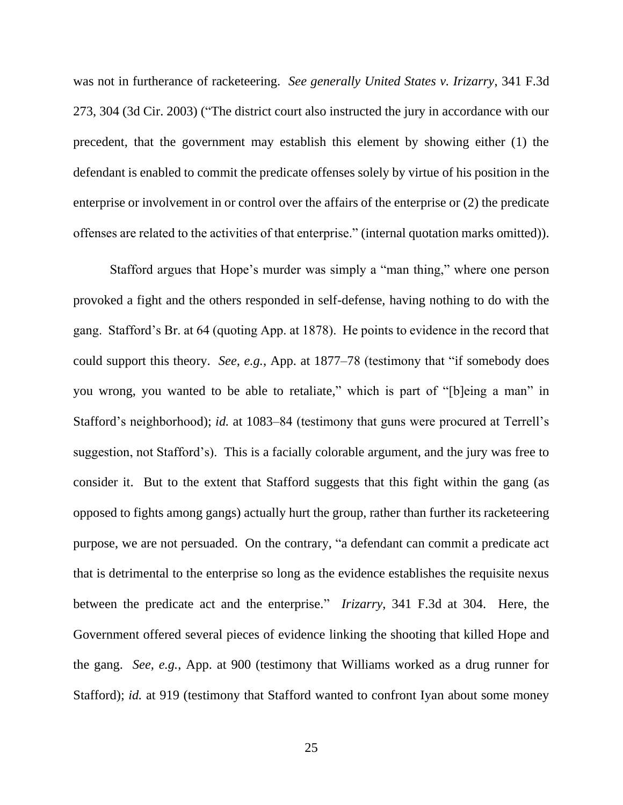was not in furtherance of racketeering. *See generally United States v. Irizarry*, 341 F.3d 273, 304 (3d Cir. 2003) ("The district court also instructed the jury in accordance with our precedent, that the government may establish this element by showing either (1) the defendant is enabled to commit the predicate offenses solely by virtue of his position in the enterprise or involvement in or control over the affairs of the enterprise or (2) the predicate offenses are related to the activities of that enterprise." (internal quotation marks omitted)).

Stafford argues that Hope's murder was simply a "man thing," where one person provoked a fight and the others responded in self-defense, having nothing to do with the gang. Stafford's Br. at 64 (quoting App. at 1878). He points to evidence in the record that could support this theory. *See, e.g.*, App. at 1877–78 (testimony that "if somebody does you wrong, you wanted to be able to retaliate," which is part of "[b]eing a man" in Stafford's neighborhood); *id.* at 1083–84 (testimony that guns were procured at Terrell's suggestion, not Stafford's). This is a facially colorable argument, and the jury was free to consider it. But to the extent that Stafford suggests that this fight within the gang (as opposed to fights among gangs) actually hurt the group, rather than further its racketeering purpose, we are not persuaded. On the contrary, "a defendant can commit a predicate act that is detrimental to the enterprise so long as the evidence establishes the requisite nexus between the predicate act and the enterprise." *Irizarry*, 341 F.3d at 304. Here, the Government offered several pieces of evidence linking the shooting that killed Hope and the gang. *See, e.g.*, App. at 900 (testimony that Williams worked as a drug runner for Stafford); *id.* at 919 (testimony that Stafford wanted to confront Iyan about some money